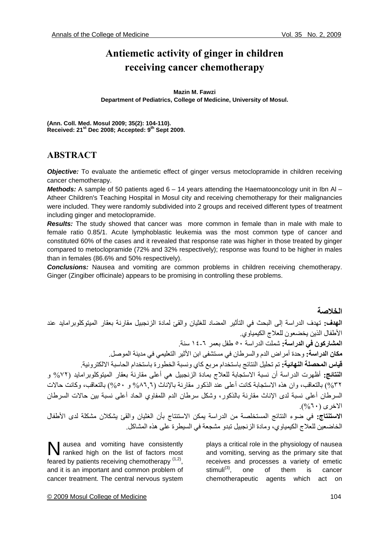# **Antiemetic activity of ginger in children receiving cancer chemotherapy**

#### **Mazin M. Fawzi**

**Department of Pediatrics, College of Medicine, University of Mosul.** 

**(Ann. Coll. Med. Mosul 2009; 35(2): 104-110).**  Received: 21<sup>st</sup> Dec 2008; Accepted: 9<sup>th</sup> Sept 2009.

## **ABSTRACT**

**Objective:** To evaluate the antiemetic effect of ginger versus metoclopramide in children receiving cancer chemotherapy.

*Methods:* A sample of 50 patients aged 6 – 14 years attending the Haematooncology unit in Ibn Al – Atheer Children's Teaching Hospital in Mosul city and receiving chemotherapy for their malignancies were included. They were randomly subdivided into 2 groups and received different types of treatment including ginger and metoclopramide.

**Results:** The study showed that cancer was more common in female than in male with male to female ratio 0.85/1. Acute lymphoblastic leukemia was the most common type of cancer and constituted 60% of the cases and it revealed that response rate was higher in those treated by ginger compared to metoclopramide (72% and 32% respectively); response was found to be higher in males than in females (86.6% and 50% respectively).

*Conclusions:* Nausea and vomiting are common problems in children receiving chemotherapy. Ginger (Zingiber officinale) appears to be promising in controlling these problems.

#### **الخلاصة**

**الهدف:** تهدف الدراسة إلى البحث في التأثير المضاد للغثيان والقئ لمادة الزنجبيل مقارنة بعقار الميتوآلوبرامايد عند الأطفال الذين يخضعون للعلاج الكيمياوي. **المشارآون في الدراسة:** شملت الدراسة ٥٠ طفل بعمر ١٤-٦ سنة. **مكان الدراسة:** وحدة أمراض الدم والسرطان في مستشفى ابن الأثير التعليمي في مدينة الموصل. **قياس المحصلة النهائية:** تم تحليل النتائج باستخدام مربع آاي ونسبة الخطورة باستخدام الحاسبة الالكترونية. **النتائج:** أظهرت الدراسة أن نسبة الاستجابة للعلاج بمادة الزنجبيل هي أعلى مقارنة بعقار الميتوآلوبرامايد (%٧٢ و ٣٢%) بالتعاقب، وان هذه الاستجابة كانت أعلى عند الذكور مقارنة بالإناث (٨٦٫٦% و ٥٠%) بالتعاقب، وكانت حالات السرطان أعلى نسبة لدى الإناث مقارنة بالذكور، وشكل سرطان الدم اللمفاوي الحاد أعلى نسبة بين حالات السرطان الاخرى (%٦٠). **الاستنتاج:** في ضوء النتائج المستخلصة من الدراسة يمكن الاستنتاج بأن الغثيان والقئ يشكلان مشكلة لدى الأطفال الخاضعين للعلاج الكيمياوي، ومادة الزنجبيل تبدو مشجعة في السيطرة على هذه المشاكل.

ausea and vomiting have consistently N ausea and vomiting have consistently<br>ranked high on the list of factors most feared by patients receiving chemotherapy  $(1,2)$ , and it is an important and common problem of cancer treatment. The central nervous system

plays a critical role in the physiology of nausea and vomiting, serving as the primary site that receives and processes a variety of emetic stimuli<sup>(3)</sup>, one of them is cancer chemotherapeutic agents which act on

#### © 2009 Mosul College of Medicine 104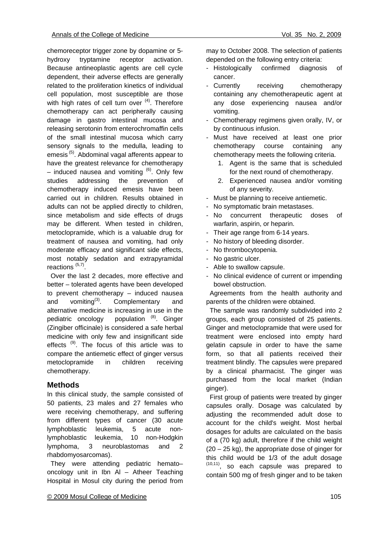chemoreceptor trigger zone by dopamine or 5 hydroxy tryptamine receptor activation. Because antineoplastic agents are cell cycle dependent, their adverse effects are generally related to the proliferation kinetics of individual cell population, most susceptible are those with high rates of cell turn over  $(4)$ . Therefore chemotherapy can act peripherally causing damage in gastro intestinal mucosa and releasing serotonin from enterochromaffin cells of the small intestinal mucosa which carry sensory signals to the medulla, leading to emesis<sup>(5)</sup>. Abdominal vagal afferents appear to have the greatest relevance for chemotherapy – induced nausea and vomiting  $^{(6)}$ . Only few studies addressing the prevention of chemotherapy induced emesis have been carried out in children. Results obtained in adults can not be applied directly to children, since metabolism and side effects of drugs may be different. When tested in children, metoclopramide, which is a valuable drug for treatment of nausea and vomiting, had only moderate efficacy and significant side effects, most notably sedation and extrapyramidal reactions  $(5,7)$ .

 Over the last 2 decades, more effective and better – tolerated agents have been developed to prevent chemotherapy – induced nausea and vomiting $^{(3)}$ . Complementary and alternative medicine is increasing in use in the pediatric oncology population (8). Ginger (Zingiber officinale) is considered a safe herbal medicine with only few and insignificant side effects<sup>(9)</sup>. The focus of this article was to compare the antiemetic effect of ginger versus metoclopramide in children receiving chemotherapy.

## **Methods**

In this clinical study, the sample consisted of 50 patients, 23 males and 27 females who were receiving chemotherapy, and suffering from different types of cancer (30 acute lymphoblastic leukemia, 5 acute nonlymphoblastic leukemia, 10 non-Hodgkin lymphoma, 3 neuroblastomas and 2 rhabdomyosarcomas).

 They were attending pediatric hemato– oncology unit in Ibn Al – Atheer Teaching Hospital in Mosul city during the period from

© 2009 Mosul College of Medicine 105

may to October 2008. The selection of patients depended on the following entry criteria:

- Histologically confirmed diagnosis of cancer.
- Currently receiving chemotherapy containing any chemotherapeutic agent at any dose experiencing nausea and/or vomiting.
- Chemotherapy regimens given orally, IV, or by continuous infusion.
- Must have received at least one prior chemotherapy course containing any chemotherapy meets the following criteria.
	- 1. Agent is the same that is scheduled for the next round of chemotherapy.
	- 2. Experienced nausea and/or vomiting of any severity.
- Must be planning to receive antiemetic.
- No symptomatic brain metastases.
- No concurrent therapeutic doses of warfarin, aspirin, or heparin.
- Their age range from 6-14 years.
- No history of bleeding disorder.
- No thrombocytopenia.
- No gastric ulcer.
- Able to swallow capsule.
- No clinical evidence of current or impending bowel obstruction.

 Agreements from the health authority and parents of the children were obtained.

 The sample was randomly subdivided into 2 groups, each group consisted of 25 patients. Ginger and metoclopramide that were used for treatment were enclosed into empty hard gelatin capsule in order to have the same form, so that all patients received their treatment blindly. The capsules were prepared by a clinical pharmacist. The ginger was purchased from the local market (Indian ginger).

 First group of patients were treated by ginger capsules orally. Dosage was calculated by adjusting the recommended adult dose to account for the child's weight. Most herbal dosages for adults are calculated on the basis of a (70 kg) adult, therefore if the child weight (20 – 25 kg), the appropriate dose of ginger for this child would be 1/3 of the adult dosage  $(10,11)$ , so each capsule was prepared to contain 500 mg of fresh ginger and to be taken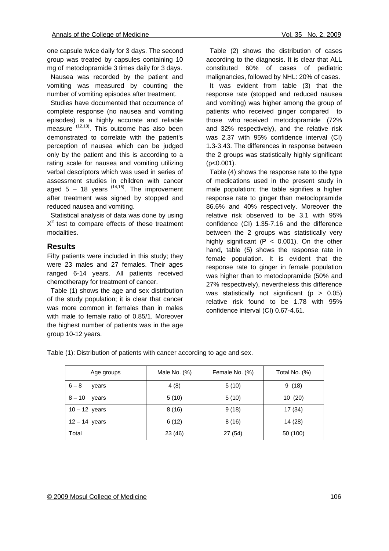one capsule twice daily for 3 days. The second group was treated by capsules containing 10 mg of metoclopramide 3 times daily for 3 days.

 Nausea was recorded by the patient and vomiting was measured by counting the number of vomiting episodes after treatment.

 Studies have documented that occurrence of complete response (no nausea and vomiting episodes) is a highly accurate and reliable measure (12,13). This outcome has also been demonstrated to correlate with the patient's perception of nausea which can be judged only by the patient and this is according to a rating scale for nausea and vomiting utilizing verbal descriptors which was used in series of assessment studies in children with cancer aged  $5 - 18$  years  $(14,15)$ . The improvement after treatment was signed by stopped and reduced nausea and vomiting.

 Statistical analysis of data was done by using  $X<sup>2</sup>$  test to compare effects of these treatment modalities.

#### **Results**

Fifty patients were included in this study; they were 23 males and 27 females. Their ages ranged 6-14 years. All patients received chemotherapy for treatment of cancer.

 Table (1) shows the age and sex distribution of the study population; it is clear that cancer was more common in females than in males with male to female ratio of 0.85/1. Moreover the highest number of patients was in the age group 10-12 years.

 Table (2) shows the distribution of cases according to the diagnosis. It is clear that ALL constituted 60% of cases of pediatric malignancies, followed by NHL: 20% of cases.

 It was evident from table (3) that the response rate (stopped and reduced nausea and vomiting) was higher among the group of patients who received ginger compared to those who received metoclopramide (72% and 32% respectively), and the relative risk was 2.37 with 95% confidence interval (CI) 1.3-3.43. The differences in response between the 2 groups was statistically highly significant  $(p<0.001)$ .

 Table (4) shows the response rate to the type of medications used in the present study in male population; the table signifies a higher response rate to ginger than metoclopramide 86.6% and 40% respectively. Moreover the relative risk observed to be 3.1 with 95% confidence (CI) 1.35-7.16 and the difference between the 2 groups was statistically very highly significant ( $P < 0.001$ ). On the other hand, table (5) shows the response rate in female population. It is evident that the response rate to ginger in female population was higher than to metoclopramide (50% and 27% respectively), nevertheless this difference was statistically not significant ( $p > 0.05$ ) relative risk found to be 1.78 with 95% confidence interval (CI) 0.67-4.61.

Table (1): Distribution of patients with cancer according to age and sex.

| Age groups        | Male No. $(\%)$ | Female No. (%) | Total No. (%) |
|-------------------|-----------------|----------------|---------------|
| $6 - 8$<br>years  | 4(8)            | 5(10)          | 9(18)         |
| $8 - 10$<br>vears | 5(10)           | 5(10)          | 10 (20)       |
| $10 - 12$ years   | 8(16)           | 9(18)          | 17 (34)       |
| $12 - 14$ years   | 6(12)           | 8(16)          | 14 (28)       |
| Total             | 23 (46)         | 27 (54)        | 50 (100)      |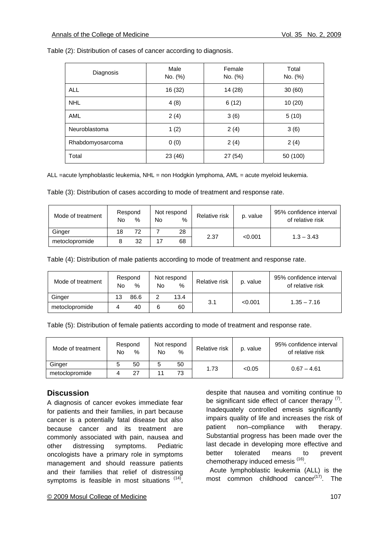Table (2): Distribution of cases of cancer according to diagnosis.

| Diagnosis        | Male<br>No. (%) | Female<br>No. (%) | Total<br>No. (%) |
|------------------|-----------------|-------------------|------------------|
| <b>ALL</b>       | 16 (32)         | 14 (28)           | 30(60)           |
| <b>NHL</b>       | 4(8)            | 6(12)             | 10(20)           |
| <b>AML</b>       | 2(4)            | 3(6)              | 5(10)            |
| Neuroblastoma    | 1(2)            | 2(4)              | 3(6)             |
| Rhabdomyosarcoma | 0(0)            | 2(4)              | 2(4)             |
| Total            | 23 (46)         | 27(54)            | 50 (100)         |

ALL =acute lymphoblastic leukemia, NHL = non Hodgkin lymphoma, AML = acute myeloid leukemia.

Table (3): Distribution of cases according to mode of treatment and response rate.

| Mode of treatment | Respond<br>No | $\%$ | No | Not respond<br>$\%$ | Relative risk | p. value | 95% confidence interval<br>of relative risk |
|-------------------|---------------|------|----|---------------------|---------------|----------|---------------------------------------------|
| Ginger            | 18            | 72   |    | 28                  | 2.37          |          | $1.3 - 3.43$                                |
| metoclopromide    |               | 32   | 17 | 68                  |               | < 0.001  |                                             |

Table (4): Distribution of male patients according to mode of treatment and response rate.

| Mode of treatment | No | Respond<br>% | No | Not respond<br>% | Relative risk | p. value | 95% confidence interval<br>of relative risk |
|-------------------|----|--------------|----|------------------|---------------|----------|---------------------------------------------|
| Ginger            | 13 | 86.6         |    | 13.4             |               |          |                                             |
| metoclopromide    |    | 40           | 6  | 60               | 3.1           | < 0.001  | $1.35 - 7.16$                               |

Table (5): Distribution of female patients according to mode of treatment and response rate.

| Mode of treatment | No | Respond<br>$\%$ | Not respond<br>No | %  | Relative risk | p. value | 95% confidence interval<br>of relative risk |
|-------------------|----|-----------------|-------------------|----|---------------|----------|---------------------------------------------|
| Ginger            |    | 50              |                   | 50 | 1.73          | < 0.05   | $0.67 - 4.61$                               |
| metoclopromide    |    | 27              |                   | 73 |               |          |                                             |

#### **Discussion**

A diagnosis of cancer evokes immediate fear for patients and their families, in part because cancer is a potentially fatal disease but also because cancer and its treatment are commonly associated with pain, nausea and other distressing symptoms. Pediatric oncologists have a primary role in symptoms management and should reassure patients and their families that relief of distressing symptoms is feasible in most situations  $(14)$ ,

Inadequately controlled emesis significantly impairs quality of life and increases the risk of patient non–compliance with therapy. Substantial progress has been made over the last decade in developing more effective and better tolerated means to prevent chemotherapy induced emesis <sup>(16)</sup>.

 Acute lymphoblastic leukemia (ALL) is the most common childhood cancer $(17)$ . The

despite that nausea and vomiting continue to be significant side effect of cancer therapy  $(7)$ .

© 2009 Mosul College of Medicine 107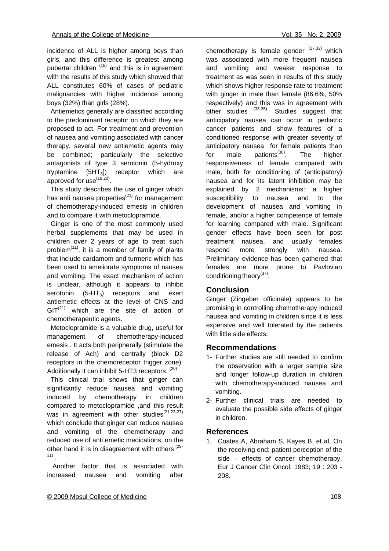incidence of ALL is higher among boys than girls, and this difference is greatest among pubertal children  $(18)$  and this is in agreement with the results of this study which showed that ALL constitutes 60% of cases of pediatric malignancies with higher incidence among boys (32%) than girls (28%).

 Antiemetics generally are classified according to the predominant receptor on which they are proposed to act. For treatment and prevention of nausea and vomiting associated with cancer therapy, several new antiemetic agents may be combined; particularly the selective antagonists of type 3 serotonin (5-hydroxy tryptamine  $[5HT_3]$ ) receptor which are approved for use<sup>(19,20)</sup>.

 This study describes the use of ginger which has anti nausea properties $(21)$  for management of chemotherapy-induced emesis in children and to compare it with metoclopramide.

 Ginger is one of the most commonly used herbal supplements that may be used in children over 2 years of age to treat such problem $(11)$ , it is a member of family of plants that include cardamom and turmeric which has been used to ameliorate symptoms of nausea and vomiting. The exact mechanism of action is unclear, although it appears to inhibit serotonin  $(5-HT_3)$  receptors and exert antiemetic effects at the level of CNS and  $GIT<sup>(21)</sup>$  which are the site of action of chemotherapeutic agents.

 Metoclopramide is a valuable drug, useful for management of chemotherapy-induced emesis . It acts both peripherally (stimulate the release of Ach) and centrally (block D2 receptors in the chemoreceptor trigger zone). Additionally it can inhibit 5-HT3 receptors. <sup>(20)</sup>

 This clinical trial shows that ginger can significantly reduce nausea and vomiting induced by chemotherapy in children compared to metoclopramide ,and this result was in agreement with other studies $(21,23-27)$ which conclude that ginger can reduce nausea and vomiting of the chemotherapy and reduced use of anti emetic medications, on the other hand it is in disagreement with others <sup>(28-</sup> 31) .

 Another factor that is associated with increased nausea and vomiting after chemotherapy is female gender  $(27,32)$  which was associated with more frequent nausea and vomiting and weaker response to treatment as was seen in results of this study which shows higher response rate to treatment with ginger in male than female (86.6%, 50% respectively) and this was in agreement with other studies <sup>(33-35)</sup>. Studies suggest that anticipatory nausea can occur in pediatric cancer patients and show features of a conditioned response with greater severity of anticipatory nausea for female patients than for male patients<sup>(36)</sup>. The higher responsiveness of female compared with male, both for conditioning of (anticipatory) nausea and for its latent inhibition may be explained by 2 mechanisms: a higher susceptibility to nausea and to the development of nausea and vomiting in female, and/or a higher competence of female for learning compared with male. Significant gender effects have been seen for post treatment nausea, and usually females respond more strongly with nausea. Preliminary evidence has been gathered that females are more prone to Pavlovian conditioning theory<sup>(37)</sup>.

## **Conclusion**

Ginger (Zingeber officinale) appears to be promising in controlling chemotherapy induced nausea and vomiting in children since it is less expensive and well tolerated by the patients with little side effects.

#### **Recommendations**

- 1- Further studies are still needed to confirm the observation with a larger sample size and longer follow-up duration in children with chemotherapy-induced nausea and vomiting.
- 2- Further clinical trials are needed to evaluate the possible side effects of ginger in children.

#### **References**

1. Coates A, Abraham S, Kayes B, et al. On the receiving end: patient perception of the side – effects of cancer chemotherapy. Eur J Cancer Clin Oncol. 1983; 19 : 203 - 208.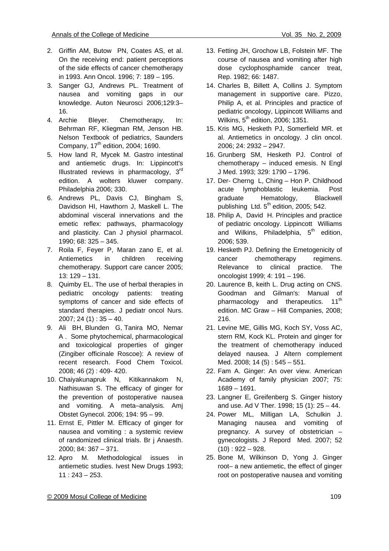- 2. Griffin AM, Butow PN, Coates AS, et al. On the receiving end: patient perceptions of the side effects of cancer chemotherapy in 1993. Ann Oncol. 1996; 7: 189 – 195.
- 3. Sanger GJ, Andrews PL. Treatment of nausea and vomiting gaps in our knowledge. Auton Neurosci 2006;129:3– 16.
- 4. Archie Bleyer. Chemotherapy, In: Behrman RF, Kliegman RM, Jenson HB. Nelson Textbook of pediatrics, Saunders Company,  $17<sup>th</sup>$  edition, 2004; 1690.
- 5. How land R, Mycek M. Gastro intestinal and antiemetic drugs. In: Lippincott's Illustrated reviews in pharmacology,  $3<sup>rd</sup>$ edition. A wolters kluwer company. Philadelphia 2006; 330.
- 6. Andrews PL, Davis CJ, Bingham S, Davidson HI, Hawthorn J, Maskell L. The abdominal visceral innervations and the emetic reflex: pathways, pharmacology and plasticity. Can J physiol pharmacol. 1990; 68: 325 – 345.
- 7. Roila F, Feyer P, Maran zano E, et al. Antiemetics in children receiving chemotherapy. Support care cancer 2005; 13: 129 – 131.
- 8. Quimby EL. The use of herbal therapies in pediatric oncology patients: treating symptoms of cancer and side effects of standard therapies. J pediatr oncol Nurs.  $2007; 24(1): 35 - 40.$
- 9. Ali BH, Blunden G, Tanira MO, Nemar A . Some phytochemical, pharmacological and toxicological properties of ginger (Zingiber officinale Roscoe): A review of recent research. Food Chem Toxicol. 2008; 46 (2) : 409- 420.
- 10. Chaiyakunapruk N, Kitikannakom N, Nathisuwan S. The efficacy of ginger for the prevention of postoperative nausea and vomiting. A meta–analysis. Amj Obstet Gynecol. 2006; 194: 95 – 99.
- 11. Ernst E, Pittler M. Efficacy of ginger for nausea and vomiting : a systemic review of randomized clinical trials. Br j Anaesth. 2000; 84: 367 – 371.
- 12. Apro M. Methodological issues in antiemetic studies. Ivest New Drugs 1993; 11 : 243 – 253.
- 13. Fetting JH, Grochow LB, Folstein MF. The course of nausea and vomiting after high dose cyclophosphamide cancer treat, Rep. 1982; 66: 1487.
- 14. Charles B, Billett A, Collins J. Symptom management in supportive care. Pizzo, Philip A, et al. Principles and practice of pediatric oncology, Lippincott Williams and Wilkins,  $5<sup>th</sup>$  edition, 2006; 1351.
- 15. Kris MG, Hesketh PJ, Somerfield MR. et al. Antiemetics in oncology. J clin oncol. 2006; 24: 2932 – 2947.
- 16. Grunberg SM, Hesketh PJ. Control of chemotherapy – induced emesis. N Engl J Med. 1993; 329: 1790 – 1796.
- 17. Der- Cherng L, Ching Hon P. Childhood acute lymphoblastic leukemia. Post graduate Hematology, Blackwell publishing Ltd.  $5<sup>th</sup>$  edition, 2005; 542.
- 18. Philip A, David H. Principles and practice of pediatric oncology. Lippincott Williams and Wilkins, Philadelphia,  $5<sup>th</sup>$  edition, 2006; 539.
- 19. Hesketh PJ. Defining the Emetogenicity of cancer chemotherapy regimens. Relevance to clinical practice. The oncologist 1999; 4: 191 – 196.
- 20. Laurence B, keith L. Drug acting on CNS. Goodman and Gilman's: Manual of pharmacology and therapeutics. 11<sup>th</sup> edition. MC Graw – Hill Companies, 2008; 216.
- 21. Levine ME, Gillis MG, Koch SY, Voss AC, stern RM, Kock KL. Protein and ginger for the treatment of chemotherapy induced delayed nausea. J Altern complement Med. 2008; 14 (5) : 545 – 551.
- 22. Fam A. Ginger: An over view. American Academy of family physician 2007; 75: 1689 – 1691.
- 23. Langner E, Greifenberg S. Ginger history and use. Ad V Ther. 1998; 15 (1): 25 – 44.
- 24. Power ML, Milligan LA, Schulkin J. Managing nausea and vomiting of pregnancy. A survey of obstetrician – gynecologists. J Repord Med. 2007; 52  $(10): 922 - 928.$
- 25. Bone M, Wilkinson D, Yong J. Ginger root– a new antiemetic, the effect of ginger root on postoperative nausea and vomiting

© 2009 Mosul College of Medicine 109